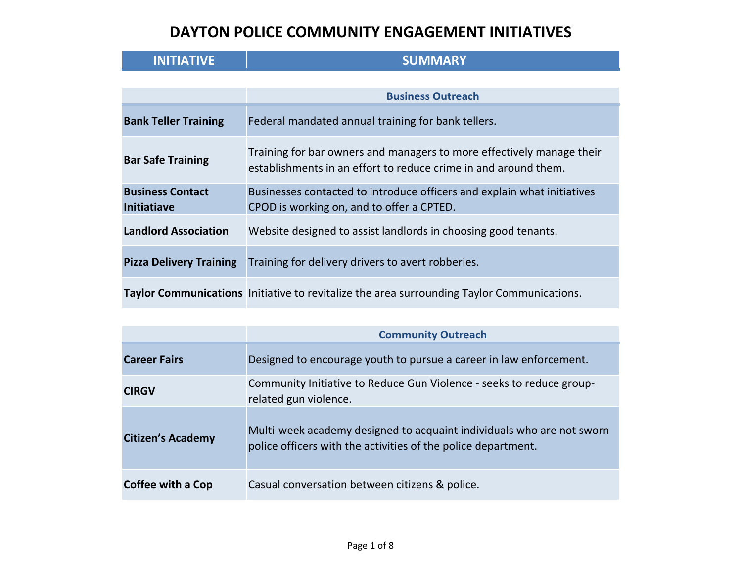| <b>INITIATIVE</b>              | <b>SUMMARY</b>                                                                                                                           |
|--------------------------------|------------------------------------------------------------------------------------------------------------------------------------------|
|                                |                                                                                                                                          |
|                                | <b>Business Outreach</b>                                                                                                                 |
| <b>Bank Teller Training</b>    | Federal mandated annual training for bank tellers.                                                                                       |
| <b>Bar Safe Training</b>       | Training for bar owners and managers to more effectively manage their<br>establishments in an effort to reduce crime in and around them. |
| <b>Business Contact</b>        | Businesses contacted to introduce officers and explain what initiatives                                                                  |
| <b>Initiatiave</b>             | CPOD is working on, and to offer a CPTED.                                                                                                |
| <b>Landlord Association</b>    | Website designed to assist landlords in choosing good tenants.                                                                           |
| <b>Pizza Delivery Training</b> | Training for delivery drivers to avert robberies.                                                                                        |
|                                | Taylor Communications Initiative to revitalize the area surrounding Taylor Communications.                                               |

|                          | <b>Community Outreach</b>                                                                                                              |
|--------------------------|----------------------------------------------------------------------------------------------------------------------------------------|
| <b>Career Fairs</b>      | Designed to encourage youth to pursue a career in law enforcement.                                                                     |
| <b>CIRGV</b>             | Community Initiative to Reduce Gun Violence - seeks to reduce group-<br>related gun violence.                                          |
| <b>Citizen's Academy</b> | Multi-week academy designed to acquaint individuals who are not sworn<br>police officers with the activities of the police department. |
| Coffee with a Cop        | Casual conversation between citizens & police.                                                                                         |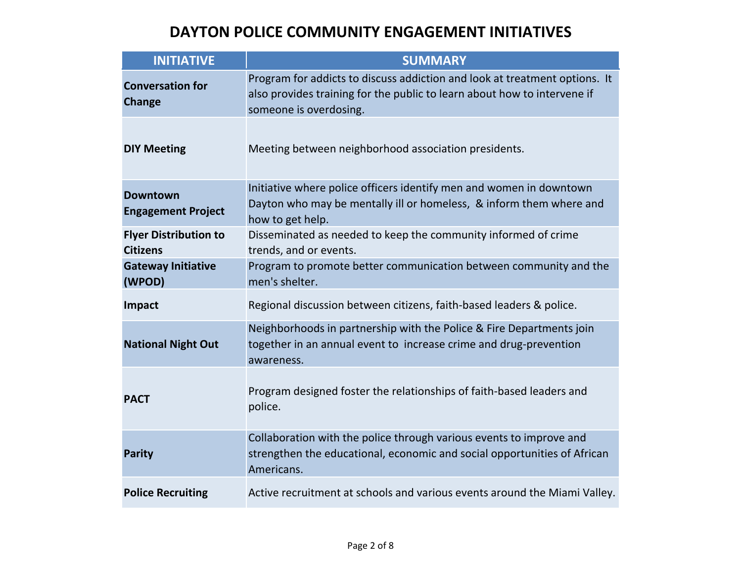| <b>INITIATIVE</b>                               | <b>SUMMARY</b>                                                                                                                                                                   |
|-------------------------------------------------|----------------------------------------------------------------------------------------------------------------------------------------------------------------------------------|
| <b>Conversation for</b><br><b>Change</b>        | Program for addicts to discuss addiction and look at treatment options. It<br>also provides training for the public to learn about how to intervene if<br>someone is overdosing. |
| <b>DIY Meeting</b>                              | Meeting between neighborhood association presidents.                                                                                                                             |
| <b>Downtown</b><br><b>Engagement Project</b>    | Initiative where police officers identify men and women in downtown<br>Dayton who may be mentally ill or homeless, & inform them where and<br>how to get help.                   |
| <b>Flyer Distribution to</b><br><b>Citizens</b> | Disseminated as needed to keep the community informed of crime<br>trends, and or events.                                                                                         |
| <b>Gateway Initiative</b><br>(WPOD)             | Program to promote better communication between community and the<br>men's shelter.                                                                                              |
| Impact                                          | Regional discussion between citizens, faith-based leaders & police.                                                                                                              |
| <b>National Night Out</b>                       | Neighborhoods in partnership with the Police & Fire Departments join<br>together in an annual event to increase crime and drug-prevention<br>awareness.                          |
| <b>PACT</b>                                     | Program designed foster the relationships of faith-based leaders and<br>police.                                                                                                  |
| <b>Parity</b>                                   | Collaboration with the police through various events to improve and<br>strengthen the educational, economic and social opportunities of African<br>Americans.                    |
| <b>Police Recruiting</b>                        | Active recruitment at schools and various events around the Miami Valley.                                                                                                        |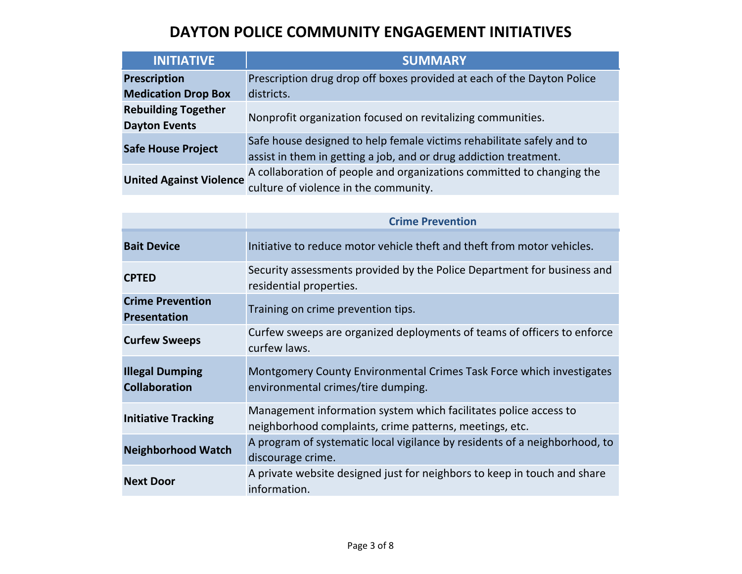| <b>INITIATIVE</b>              | <b>SUMMARY</b>                                                         |
|--------------------------------|------------------------------------------------------------------------|
| <b>Prescription</b>            | Prescription drug drop off boxes provided at each of the Dayton Police |
| <b>Medication Drop Box</b>     | districts.                                                             |
| <b>Rebuilding Together</b>     | Nonprofit organization focused on revitalizing communities.            |
| <b>Dayton Events</b>           |                                                                        |
| <b>Safe House Project</b>      | Safe house designed to help female victims rehabilitate safely and to  |
|                                | assist in them in getting a job, and or drug addiction treatment.      |
| <b>United Against Violence</b> | A collaboration of people and organizations committed to changing the  |
|                                | culture of violence in the community.                                  |

|                                                | <b>Crime Prevention</b>                                                                                                     |
|------------------------------------------------|-----------------------------------------------------------------------------------------------------------------------------|
| <b>Bait Device</b>                             | Initiative to reduce motor vehicle theft and theft from motor vehicles.                                                     |
| <b>CPTED</b>                                   | Security assessments provided by the Police Department for business and<br>residential properties.                          |
| <b>Crime Prevention</b><br><b>Presentation</b> | Training on crime prevention tips.                                                                                          |
| <b>Curfew Sweeps</b>                           | Curfew sweeps are organized deployments of teams of officers to enforce<br>curfew laws.                                     |
| <b>Illegal Dumping</b><br><b>Collaboration</b> | Montgomery County Environmental Crimes Task Force which investigates<br>environmental crimes/tire dumping.                  |
| <b>Initiative Tracking</b>                     | Management information system which facilitates police access to<br>neighborhood complaints, crime patterns, meetings, etc. |
| <b>Neighborhood Watch</b>                      | A program of systematic local vigilance by residents of a neighborhood, to<br>discourage crime.                             |
| <b>Next Door</b>                               | A private website designed just for neighbors to keep in touch and share<br>information.                                    |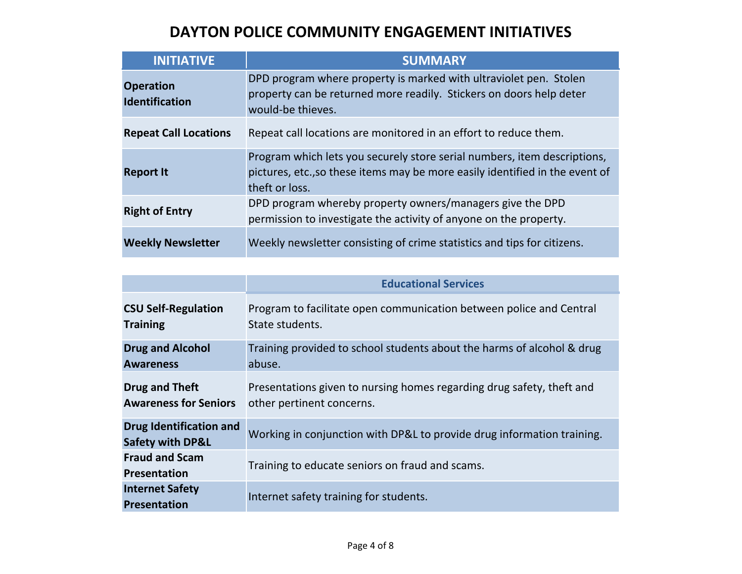| <b>INITIATIVE</b>                         | <b>SUMMARY</b>                                                                                                                                                             |
|-------------------------------------------|----------------------------------------------------------------------------------------------------------------------------------------------------------------------------|
| <b>Operation</b><br><b>Identification</b> | DPD program where property is marked with ultraviolet pen. Stolen<br>property can be returned more readily. Stickers on doors help deter<br>would-be thieves.              |
| <b>Repeat Call Locations</b>              | Repeat call locations are monitored in an effort to reduce them.                                                                                                           |
| <b>Report It</b>                          | Program which lets you securely store serial numbers, item descriptions,<br>pictures, etc., so these items may be more easily identified in the event of<br>theft or loss. |
| <b>Right of Entry</b>                     | DPD program whereby property owners/managers give the DPD<br>permission to investigate the activity of anyone on the property.                                             |
| <b>Weekly Newsletter</b>                  | Weekly newsletter consisting of crime statistics and tips for citizens.                                                                                                    |

|                                                               | <b>Educational Services</b>                                                                        |
|---------------------------------------------------------------|----------------------------------------------------------------------------------------------------|
| <b>CSU Self-Regulation</b><br><b>Training</b>                 | Program to facilitate open communication between police and Central<br>State students.             |
| <b>Drug and Alcohol</b><br><b>Awareness</b>                   | Training provided to school students about the harms of alcohol & drug<br>abuse.                   |
| <b>Drug and Theft</b><br><b>Awareness for Seniors</b>         | Presentations given to nursing homes regarding drug safety, theft and<br>other pertinent concerns. |
| <b>Drug Identification and</b><br><b>Safety with DP&amp;L</b> | Working in conjunction with DP&L to provide drug information training.                             |
| <b>Fraud and Scam</b><br><b>Presentation</b>                  | Training to educate seniors on fraud and scams.                                                    |
| <b>Internet Safety</b><br><b>Presentation</b>                 | Internet safety training for students.                                                             |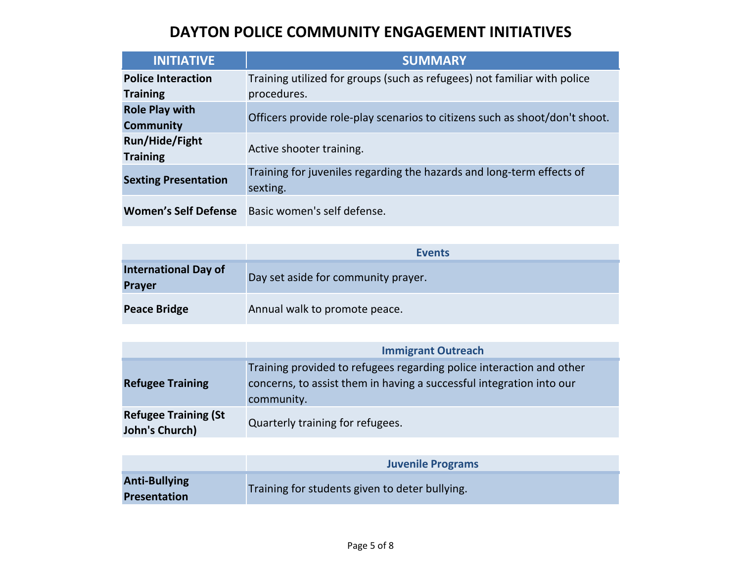| <b>INITIATIVE</b>           | <b>SUMMARY</b>                                                              |
|-----------------------------|-----------------------------------------------------------------------------|
| <b>Police Interaction</b>   | Training utilized for groups (such as refugees) not familiar with police    |
| <b>Training</b>             | procedures.                                                                 |
| <b>Role Play with</b>       | Officers provide role-play scenarios to citizens such as shoot/don't shoot. |
| <b>Community</b>            |                                                                             |
| <b>Run/Hide/Fight</b>       | Active shooter training.                                                    |
| <b>Training</b>             |                                                                             |
| <b>Sexting Presentation</b> | Training for juveniles regarding the hazards and long-term effects of       |
|                             | sexting.                                                                    |
| <b>Women's Self Defense</b> | Basic women's self defense.                                                 |

|                                              | <b>Events</b>                       |
|----------------------------------------------|-------------------------------------|
| <b>International Day of</b><br><b>Prayer</b> | Day set aside for community prayer. |
| <b>Peace Bridge</b>                          | Annual walk to promote peace.       |

|                                               | <b>Immigrant Outreach</b>                                                                                                                                  |
|-----------------------------------------------|------------------------------------------------------------------------------------------------------------------------------------------------------------|
| <b>Refugee Training</b>                       | Training provided to refugees regarding police interaction and other<br>concerns, to assist them in having a successful integration into our<br>community. |
| <b>Refugee Training (St</b><br>John's Church) | Quarterly training for refugees.                                                                                                                           |

|                                             | <b>Juvenile Programs</b>                       |
|---------------------------------------------|------------------------------------------------|
| <b>Anti-Bullying</b><br><b>Presentation</b> | Training for students given to deter bullying. |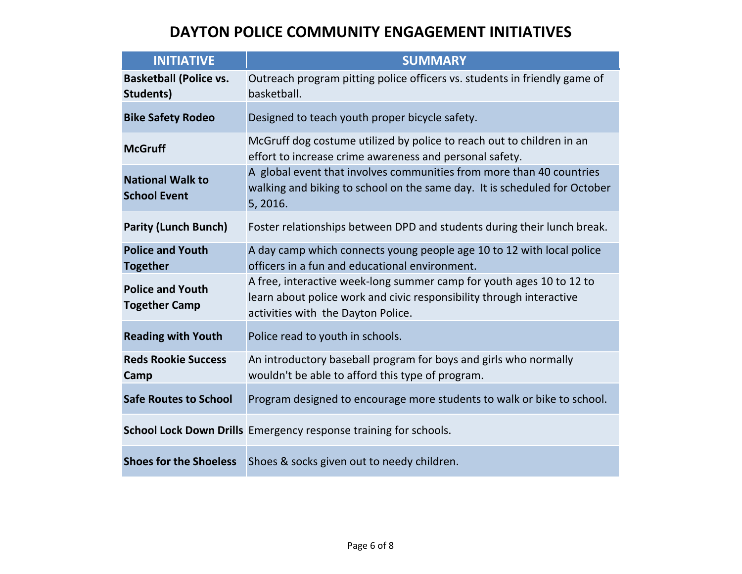| <b>INITIATIVE</b>                               | <b>SUMMARY</b>                                                                                                                                                                     |
|-------------------------------------------------|------------------------------------------------------------------------------------------------------------------------------------------------------------------------------------|
| <b>Basketball (Police vs.</b><br>Students)      | Outreach program pitting police officers vs. students in friendly game of<br>basketball.                                                                                           |
| <b>Bike Safety Rodeo</b>                        | Designed to teach youth proper bicycle safety.                                                                                                                                     |
| <b>McGruff</b>                                  | McGruff dog costume utilized by police to reach out to children in an<br>effort to increase crime awareness and personal safety.                                                   |
| <b>National Walk to</b><br><b>School Event</b>  | A global event that involves communities from more than 40 countries<br>walking and biking to school on the same day. It is scheduled for October<br>5, 2016.                      |
| <b>Parity (Lunch Bunch)</b>                     | Foster relationships between DPD and students during their lunch break.                                                                                                            |
| <b>Police and Youth</b><br><b>Together</b>      | A day camp which connects young people age 10 to 12 with local police<br>officers in a fun and educational environment.                                                            |
| <b>Police and Youth</b><br><b>Together Camp</b> | A free, interactive week-long summer camp for youth ages 10 to 12 to<br>learn about police work and civic responsibility through interactive<br>activities with the Dayton Police. |
| <b>Reading with Youth</b>                       | Police read to youth in schools.                                                                                                                                                   |
| <b>Reds Rookie Success</b><br>Camp              | An introductory baseball program for boys and girls who normally<br>wouldn't be able to afford this type of program.                                                               |
| <b>Safe Routes to School</b>                    | Program designed to encourage more students to walk or bike to school.                                                                                                             |
|                                                 | School Lock Down Drills Emergency response training for schools.                                                                                                                   |
| <b>Shoes for the Shoeless</b>                   | Shoes & socks given out to needy children.                                                                                                                                         |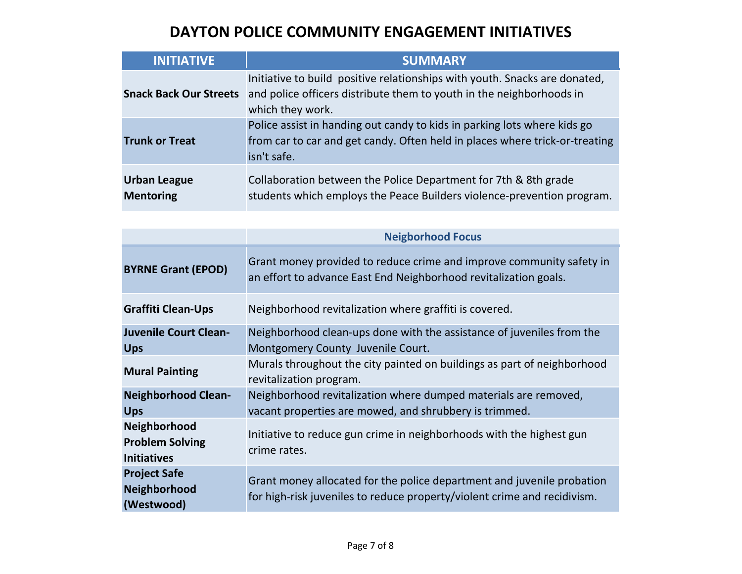| <b>INITIATIVE</b>                       | <b>SUMMARY</b>                                                                                                                                                         |
|-----------------------------------------|------------------------------------------------------------------------------------------------------------------------------------------------------------------------|
| <b>Snack Back Our Streets</b>           | Initiative to build positive relationships with youth. Snacks are donated,<br>and police officers distribute them to youth in the neighborhoods in<br>which they work. |
| <b>Trunk or Treat</b>                   | Police assist in handing out candy to kids in parking lots where kids go<br>from car to car and get candy. Often held in places where trick-or-treating<br>isn't safe. |
| <b>Urban League</b><br><b>Mentoring</b> | Collaboration between the Police Department for 7th & 8th grade<br>students which employs the Peace Builders violence-prevention program.                              |

|                                                              | <b>Neigborhood Focus</b>                                                                                                                           |
|--------------------------------------------------------------|----------------------------------------------------------------------------------------------------------------------------------------------------|
| <b>BYRNE Grant (EPOD)</b>                                    | Grant money provided to reduce crime and improve community safety in<br>an effort to advance East End Neighborhood revitalization goals.           |
| <b>Graffiti Clean-Ups</b>                                    | Neighborhood revitalization where graffiti is covered.                                                                                             |
| <b>Juvenile Court Clean-</b><br><b>Ups</b>                   | Neighborhood clean-ups done with the assistance of juveniles from the<br>Montgomery County Juvenile Court.                                         |
| <b>Mural Painting</b>                                        | Murals throughout the city painted on buildings as part of neighborhood<br>revitalization program.                                                 |
| <b>Neighborhood Clean-</b><br><b>Ups</b>                     | Neighborhood revitalization where dumped materials are removed,<br>vacant properties are mowed, and shrubbery is trimmed.                          |
| Neighborhood<br><b>Problem Solving</b><br><b>Initiatives</b> | Initiative to reduce gun crime in neighborhoods with the highest gun<br>crime rates.                                                               |
| <b>Project Safe</b><br>Neighborhood<br>(Westwood)            | Grant money allocated for the police department and juvenile probation<br>for high-risk juveniles to reduce property/violent crime and recidivism. |